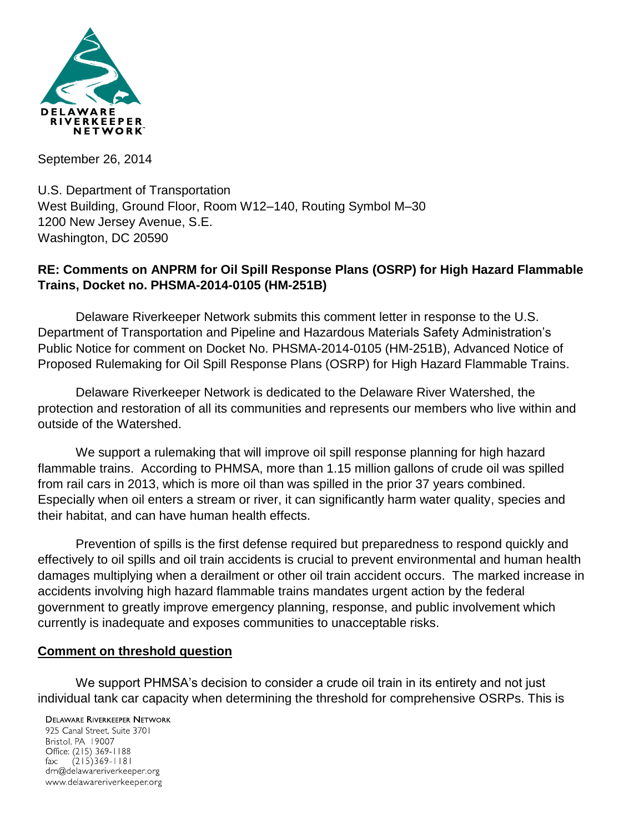

September 26, 2014

U.S. Department of Transportation West Building, Ground Floor, Room W12–140, Routing Symbol M–30 1200 New Jersey Avenue, S.E. Washington, DC 20590

### **RE: Comments on ANPRM for Oil Spill Response Plans (OSRP) for High Hazard Flammable Trains, Docket no. PHSMA-2014-0105 (HM-251B)**

Delaware Riverkeeper Network submits this comment letter in response to the U.S. Department of Transportation and Pipeline and Hazardous Materials Safety Administration's Public Notice for comment on Docket No. PHSMA-2014-0105 (HM-251B), Advanced Notice of Proposed Rulemaking for Oil Spill Response Plans (OSRP) for High Hazard Flammable Trains.

Delaware Riverkeeper Network is dedicated to the Delaware River Watershed, the protection and restoration of all its communities and represents our members who live within and outside of the Watershed.

We support a rulemaking that will improve oil spill response planning for high hazard flammable trains. According to PHMSA, more than 1.15 million gallons of crude oil was spilled from rail cars in 2013, which is more oil than was spilled in the prior 37 years combined. Especially when oil enters a stream or river, it can significantly harm water quality, species and their habitat, and can have human health effects.

Prevention of spills is the first defense required but preparedness to respond quickly and effectively to oil spills and oil train accidents is crucial to prevent environmental and human health damages multiplying when a derailment or other oil train accident occurs. The marked increase in accidents involving high hazard flammable trains mandates urgent action by the federal government to greatly improve emergency planning, response, and public involvement which currently is inadequate and exposes communities to unacceptable risks.

#### **Comment on threshold question**

We support PHMSA's decision to consider a crude oil train in its entirety and not just individual tank car capacity when determining the threshold for comprehensive OSRPs. This is

**DELAWARE RIVERKEEPER NETWORK** 925 Canal Street, Suite 3701 Bristol, PA 19007 Office: (215) 369-1188 fax:  $(215)369 - 1181$ drn@delawareriverkeeper.org www.delawareriverkeeper.org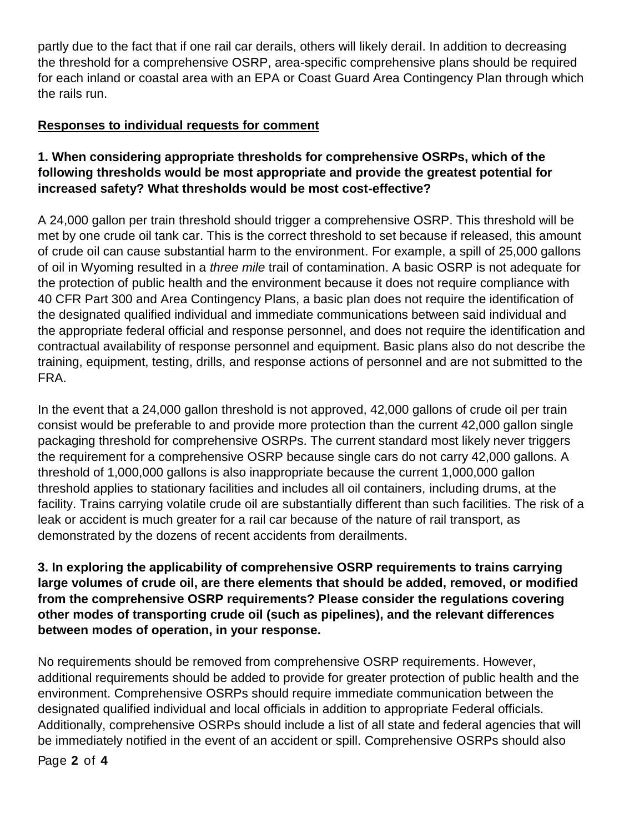partly due to the fact that if one rail car derails, others will likely derail. In addition to decreasing the threshold for a comprehensive OSRP, area-specific comprehensive plans should be required for each inland or coastal area with an EPA or Coast Guard Area Contingency Plan through which the rails run.

### **Responses to individual requests for comment**

## **1. When considering appropriate thresholds for comprehensive OSRPs, which of the following thresholds would be most appropriate and provide the greatest potential for increased safety? What thresholds would be most cost-effective?**

A 24,000 gallon per train threshold should trigger a comprehensive OSRP. This threshold will be met by one crude oil tank car. This is the correct threshold to set because if released, this amount of crude oil can cause substantial harm to the environment. For example, a spill of 25,000 gallons of oil in Wyoming resulted in a *three mile* trail of contamination. A basic OSRP is not adequate for the protection of public health and the environment because it does not require compliance with 40 CFR Part 300 and Area Contingency Plans, a basic plan does not require the identification of the designated qualified individual and immediate communications between said individual and the appropriate federal official and response personnel, and does not require the identification and contractual availability of response personnel and equipment. Basic plans also do not describe the training, equipment, testing, drills, and response actions of personnel and are not submitted to the FRA.

In the event that a 24,000 gallon threshold is not approved, 42,000 gallons of crude oil per train consist would be preferable to and provide more protection than the current 42,000 gallon single packaging threshold for comprehensive OSRPs. The current standard most likely never triggers the requirement for a comprehensive OSRP because single cars do not carry 42,000 gallons. A threshold of 1,000,000 gallons is also inappropriate because the current 1,000,000 gallon threshold applies to stationary facilities and includes all oil containers, including drums, at the facility. Trains carrying volatile crude oil are substantially different than such facilities. The risk of a leak or accident is much greater for a rail car because of the nature of rail transport, as demonstrated by the dozens of recent accidents from derailments.

**3. In exploring the applicability of comprehensive OSRP requirements to trains carrying large volumes of crude oil, are there elements that should be added, removed, or modified from the comprehensive OSRP requirements? Please consider the regulations covering other modes of transporting crude oil (such as pipelines), and the relevant differences between modes of operation, in your response.**

No requirements should be removed from comprehensive OSRP requirements. However, additional requirements should be added to provide for greater protection of public health and the environment. Comprehensive OSRPs should require immediate communication between the designated qualified individual and local officials in addition to appropriate Federal officials. Additionally, comprehensive OSRPs should include a list of all state and federal agencies that will be immediately notified in the event of an accident or spill. Comprehensive OSRPs should also

Page **2** of **4**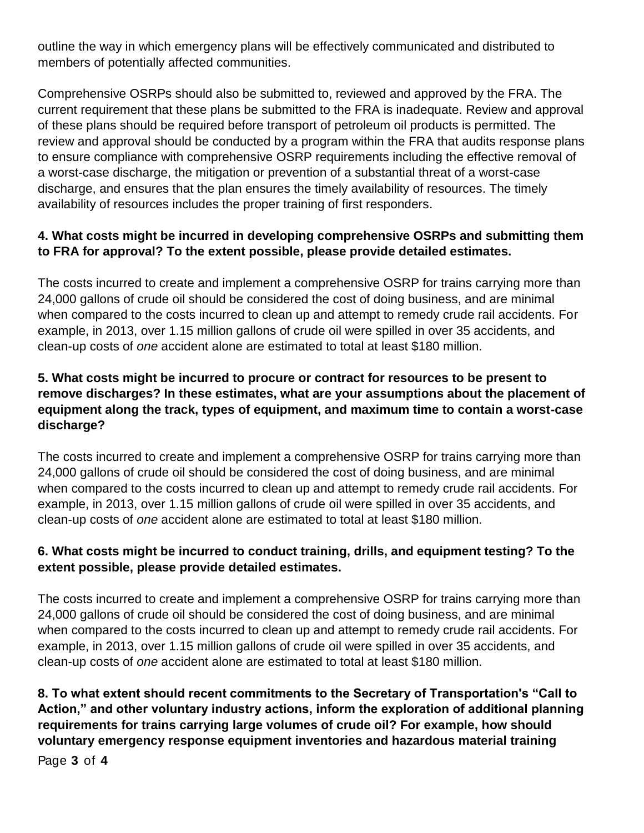outline the way in which emergency plans will be effectively communicated and distributed to members of potentially affected communities.

Comprehensive OSRPs should also be submitted to, reviewed and approved by the FRA. The current requirement that these plans be submitted to the FRA is inadequate. Review and approval of these plans should be required before transport of petroleum oil products is permitted. The review and approval should be conducted by a program within the FRA that audits response plans to ensure compliance with comprehensive OSRP requirements including the effective removal of a worst-case discharge, the mitigation or prevention of a substantial threat of a worst-case discharge, and ensures that the plan ensures the timely availability of resources. The timely availability of resources includes the proper training of first responders.

# **4. What costs might be incurred in developing comprehensive OSRPs and submitting them to FRA for approval? To the extent possible, please provide detailed estimates.**

The costs incurred to create and implement a comprehensive OSRP for trains carrying more than 24,000 gallons of crude oil should be considered the cost of doing business, and are minimal when compared to the costs incurred to clean up and attempt to remedy crude rail accidents. For example, in 2013, over 1.15 million gallons of crude oil were spilled in over 35 accidents, and clean-up costs of *one* accident alone are estimated to total at least \$180 million.

## **5. What costs might be incurred to procure or contract for resources to be present to remove discharges? In these estimates, what are your assumptions about the placement of equipment along the track, types of equipment, and maximum time to contain a worst-case discharge?**

The costs incurred to create and implement a comprehensive OSRP for trains carrying more than 24,000 gallons of crude oil should be considered the cost of doing business, and are minimal when compared to the costs incurred to clean up and attempt to remedy crude rail accidents. For example, in 2013, over 1.15 million gallons of crude oil were spilled in over 35 accidents, and clean-up costs of *one* accident alone are estimated to total at least \$180 million.

## **6. What costs might be incurred to conduct training, drills, and equipment testing? To the extent possible, please provide detailed estimates.**

The costs incurred to create and implement a comprehensive OSRP for trains carrying more than 24,000 gallons of crude oil should be considered the cost of doing business, and are minimal when compared to the costs incurred to clean up and attempt to remedy crude rail accidents. For example, in 2013, over 1.15 million gallons of crude oil were spilled in over 35 accidents, and clean-up costs of *one* accident alone are estimated to total at least \$180 million.

**8. To what extent should recent commitments to the Secretary of Transportation's "Call to Action," and other voluntary industry actions, inform the exploration of additional planning requirements for trains carrying large volumes of crude oil? For example, how should voluntary emergency response equipment inventories and hazardous material training** 

Page **3** of **4**